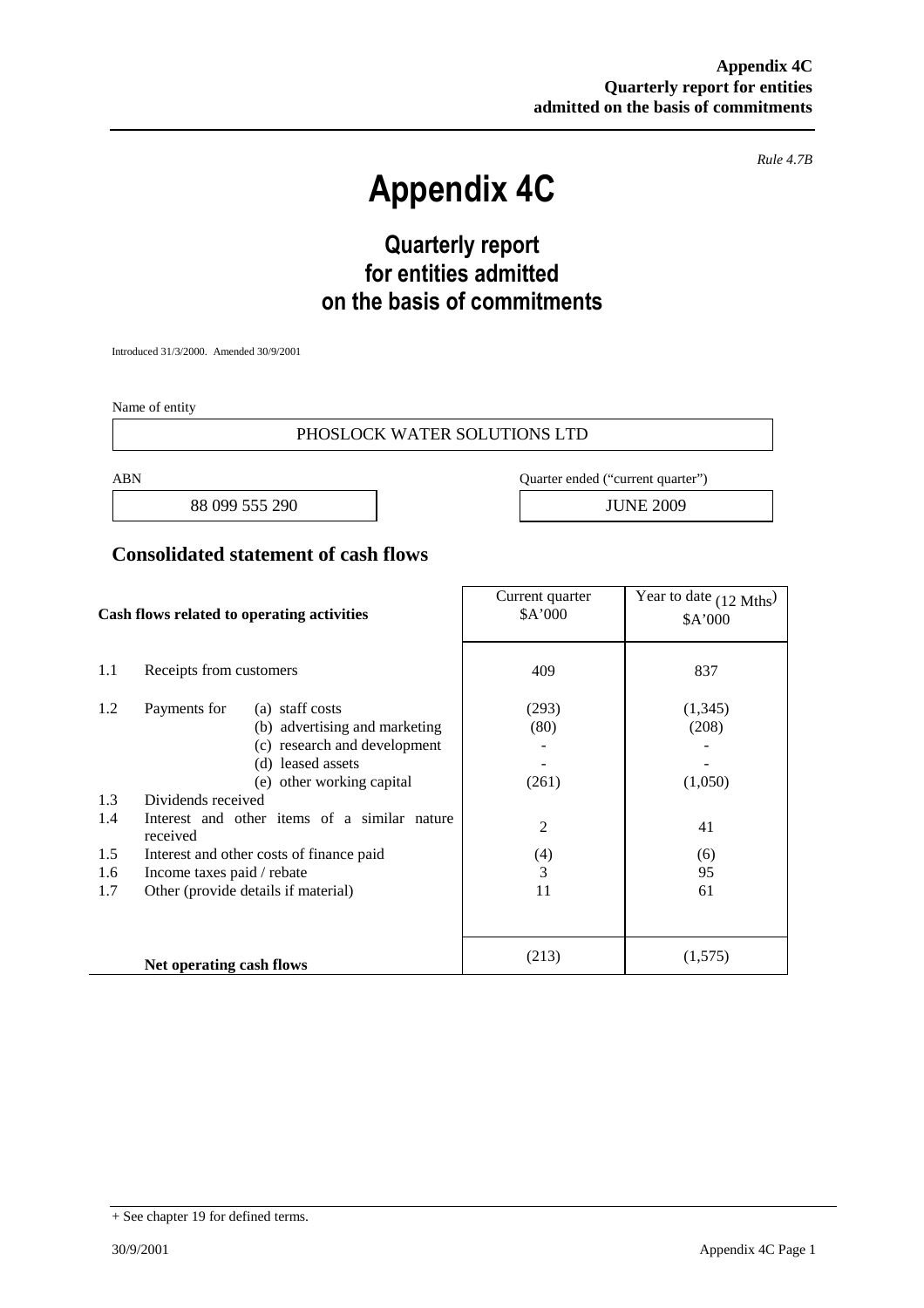*Rule 4.7B*

# **Appendix 4C**

# **Quarterly report for entities admitted on the basis of commitments**

Introduced 31/3/2000. Amended 30/9/2001

Name of entity

#### PHOSLOCK WATER SOLUTIONS LTD

88 099 555 290 JUNE 2009

ABN Quarter ended ("current quarter")

#### **Consolidated statement of cash flows**

| Cash flows related to operating activities |                                                          | Current quarter<br>\$A'000 | Year to date (12 Mths)<br>\$A'000 |
|--------------------------------------------|----------------------------------------------------------|----------------------------|-----------------------------------|
| 1.1                                        | Receipts from customers                                  | 409                        | 837                               |
| 1.2                                        | Payments for<br>(a) staff costs                          | (293)                      | (1,345)                           |
|                                            | (b) advertising and marketing                            | (80)                       | (208)                             |
|                                            | (c) research and development                             |                            |                                   |
|                                            | (d) leased assets                                        |                            |                                   |
|                                            | (e) other working capital                                | (261)                      | (1,050)                           |
| 1.3                                        | Dividends received                                       |                            |                                   |
| 1.4                                        | Interest and other items of a similar nature<br>received | $\overline{c}$             | 41                                |
| 1.5                                        | Interest and other costs of finance paid                 | (4)                        | (6)                               |
| 1.6                                        | Income taxes paid / rebate                               | 3                          | 95                                |
| 1.7                                        | Other (provide details if material)                      | 11                         | 61                                |
|                                            |                                                          |                            |                                   |
|                                            | Net operating cash flows                                 | (213)                      | (1,575)                           |

<sup>+</sup> See chapter 19 for defined terms.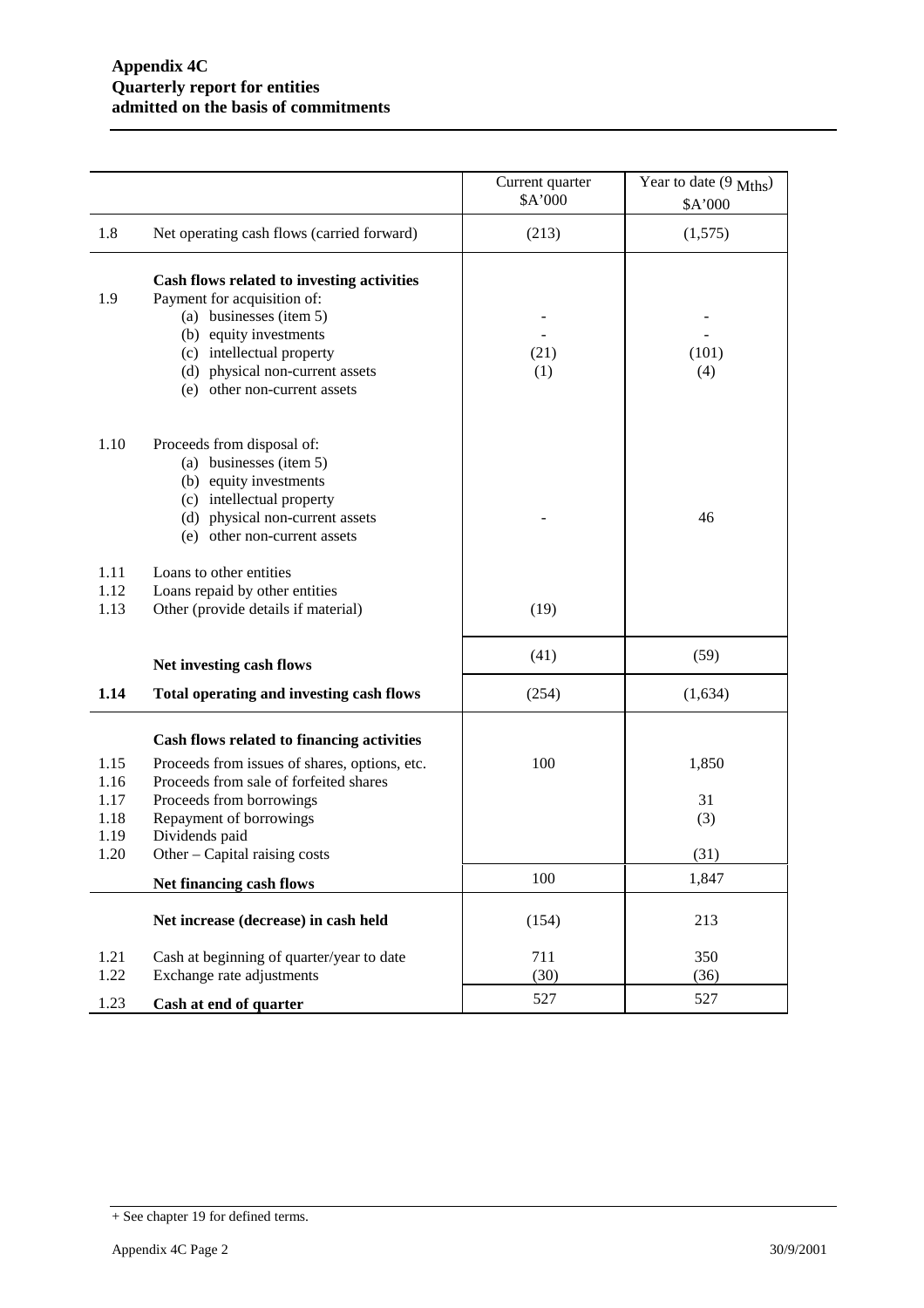|                      |                                                                                                                                                                                                                                | Current quarter<br>\$A'000 | Year to date $(9 \text{ Mths})$<br>\$A'000 |
|----------------------|--------------------------------------------------------------------------------------------------------------------------------------------------------------------------------------------------------------------------------|----------------------------|--------------------------------------------|
| 1.8                  | Net operating cash flows (carried forward)                                                                                                                                                                                     | (213)                      | (1,575)                                    |
| 1.9                  | Cash flows related to investing activities<br>Payment for acquisition of:<br>(a) businesses (item 5)<br>(b) equity investments<br>(c) intellectual property<br>(d) physical non-current assets<br>(e) other non-current assets | (21)<br>(1)                | (101)<br>(4)                               |
| 1.10                 | Proceeds from disposal of:<br>(a) businesses (item 5)<br>(b) equity investments<br>(c) intellectual property<br>(d) physical non-current assets<br>(e) other non-current assets                                                |                            | 46                                         |
| 1.11<br>1.12<br>1.13 | Loans to other entities<br>Loans repaid by other entities<br>Other (provide details if material)                                                                                                                               | (19)                       |                                            |
|                      | Net investing cash flows                                                                                                                                                                                                       | (41)                       | (59)                                       |
| 1.14                 | Total operating and investing cash flows                                                                                                                                                                                       | (254)                      | (1,634)                                    |
| 1.15<br>1.16<br>1.17 | Cash flows related to financing activities<br>Proceeds from issues of shares, options, etc.<br>Proceeds from sale of forfeited shares<br>Proceeds from borrowings                                                              | 100                        | 1,850<br>31                                |
| 1.18<br>1.19<br>1.20 | Repayment of borrowings<br>Dividends paid<br>Other - Capital raising costs                                                                                                                                                     |                            | (3)<br>(31)                                |
|                      | Net financing cash flows                                                                                                                                                                                                       | 100                        | 1,847                                      |
|                      | Net increase (decrease) in cash held                                                                                                                                                                                           | (154)                      | 213                                        |
| 1.21<br>1.22         | Cash at beginning of quarter/year to date<br>Exchange rate adjustments                                                                                                                                                         | 711<br>(30)                | 350<br>(36)                                |
| 1.23                 | Cash at end of quarter                                                                                                                                                                                                         | 527                        | 527                                        |

<sup>+</sup> See chapter 19 for defined terms.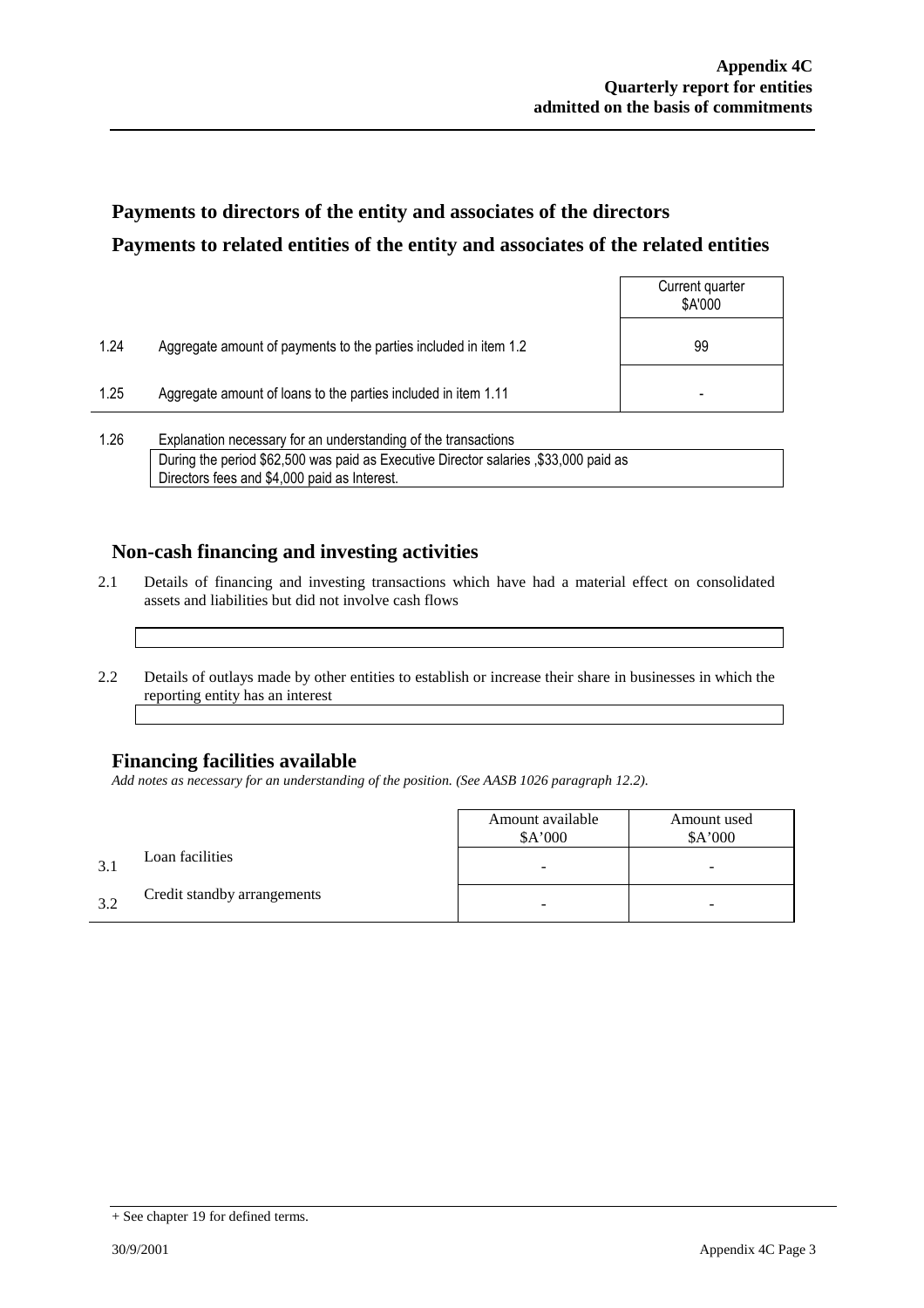## **Payments to directors of the entity and associates of the directors Payments to related entities of the entity and associates of the related entities**

|      |                                                                  | Current quarter<br>\$A'000 |
|------|------------------------------------------------------------------|----------------------------|
| 1.24 | Aggregate amount of payments to the parties included in item 1.2 | 99                         |
| 1.25 | Aggregate amount of loans to the parties included in item 1.11   | ۰                          |
|      |                                                                  |                            |

1.26 Explanation necessary for an understanding of the transactions During the period \$62,500 was paid as Executive Director salaries ,\$33,000 paid as Directors fees and \$4,000 paid as Interest.

### **Non-cash financing and investing activities**

- 2.1 Details of financing and investing transactions which have had a material effect on consolidated assets and liabilities but did not involve cash flows
- 2.2 Details of outlays made by other entities to establish or increase their share in businesses in which the reporting entity has an interest

### **Financing facilities available**

*Add notes as necessary for an understanding of the position. (See AASB 1026 paragraph 12.2).*

|              |                             | Amount available<br>\$A'000 | Amount used<br>\$A'000   |
|--------------|-----------------------------|-----------------------------|--------------------------|
| $\mathbf{R}$ | Loan facilities             | -                           | $\overline{\phantom{0}}$ |
| 32           | Credit standby arrangements |                             | -                        |

<sup>+</sup> See chapter 19 for defined terms.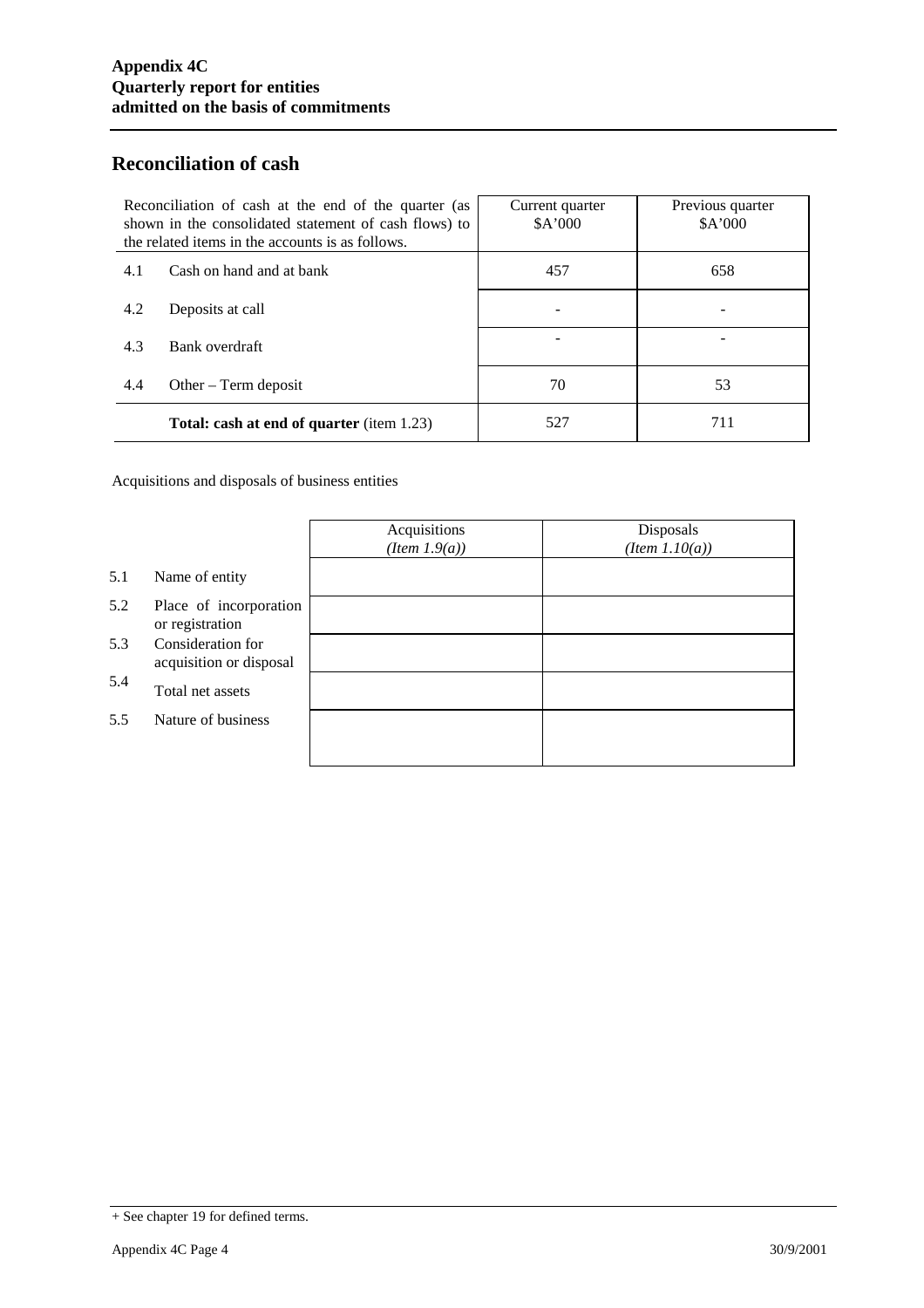### **Reconciliation of cash**

| Reconciliation of cash at the end of the quarter (as<br>shown in the consolidated statement of cash flows) to<br>the related items in the accounts is as follows. |                                                  | Current quarter<br>\$A'000 | Previous quarter<br>\$A'000 |
|-------------------------------------------------------------------------------------------------------------------------------------------------------------------|--------------------------------------------------|----------------------------|-----------------------------|
| 4.1                                                                                                                                                               | Cash on hand and at bank                         | 457                        | 658                         |
| 4.2                                                                                                                                                               | Deposits at call                                 |                            |                             |
| 4.3                                                                                                                                                               | Bank overdraft                                   |                            |                             |
| 4.4                                                                                                                                                               | Other $-$ Term deposit                           | 70                         | 53                          |
|                                                                                                                                                                   | <b>Total: cash at end of quarter</b> (item 1.23) | 527                        | 711                         |

Acquisitions and disposals of business entities

|     |                                              | Acquisitions<br>$(Item\ 1.9(a))$ | Disposals<br>$(Item\ 1.10(a))$ |
|-----|----------------------------------------------|----------------------------------|--------------------------------|
| 5.1 | Name of entity                               |                                  |                                |
| 5.2 | Place of incorporation<br>or registration    |                                  |                                |
| 5.3 | Consideration for<br>acquisition or disposal |                                  |                                |
| 5.4 | Total net assets                             |                                  |                                |
| 5.5 | Nature of business                           |                                  |                                |
|     |                                              |                                  |                                |

<sup>+</sup> See chapter 19 for defined terms.